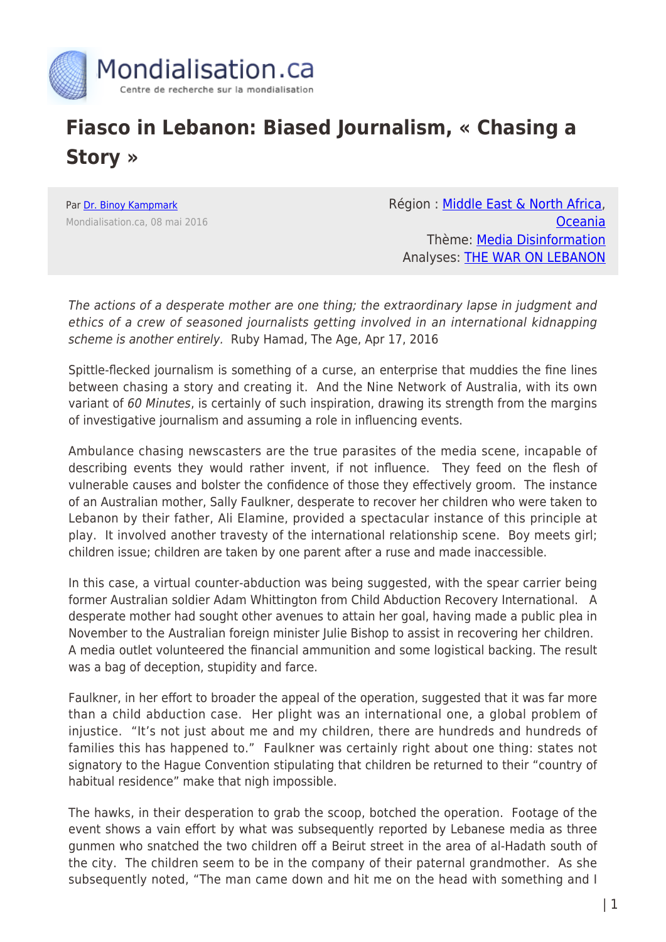

## **Fiasco in Lebanon: Biased Journalism, « Chasing a Story »**

Par [Dr. Binoy Kampmark](https://www.mondialisation.ca/author/binoy-kampmark) Mondialisation.ca, 08 mai 2016 Région : [Middle East & North Africa](https://www.mondialisation.ca/region/middle-east), [Oceania](https://www.mondialisation.ca/region/oceania) Thème: [Media Disinformation](https://www.mondialisation.ca/theme/media-disinformation) Analyses: [THE WAR ON LEBANON](https://www.mondialisation.ca/indepthreport/the-war-on-lebanon)

The actions of a desperate mother are one thing; the extraordinary lapse in judgment and ethics of a crew of seasoned journalists getting involved in an international kidnapping scheme is another entirely. Ruby Hamad, The Age, Apr 17, 2016

Spittle-flecked journalism is something of a curse, an enterprise that muddies the fine lines between chasing a story and creating it. And the Nine Network of Australia, with its own variant of 60 Minutes, is certainly of such inspiration, drawing its strength from the margins of investigative journalism and assuming a role in influencing events.

Ambulance chasing newscasters are the true parasites of the media scene, incapable of describing events they would rather invent, if not influence. They feed on the flesh of vulnerable causes and bolster the confidence of those they effectively groom. The instance of an Australian mother, Sally Faulkner, desperate to recover her children who were taken to Lebanon by their father, Ali Elamine, provided a spectacular instance of this principle at play. It involved another travesty of the international relationship scene. Boy meets girl; children issue; children are taken by one parent after a ruse and made inaccessible.

In this case, a virtual counter-abduction was being suggested, with the spear carrier being former Australian soldier Adam Whittington from Child Abduction Recovery International. A desperate mother had sought other avenues to attain her goal, having made a public plea in November to the Australian foreign minister Julie Bishop to assist in recovering her children. A media outlet volunteered the financial ammunition and some logistical backing. The result was a bag of deception, stupidity and farce.

Faulkner, in her effort to broader the appeal of the operation, suggested that it was far more than a child abduction case. Her plight was an international one, a global problem of injustice. "It's not just about me and my children, there are hundreds and hundreds of families this has happened to." Faulkner was certainly right about one thing: states not signatory to the Hague Convention stipulating that children be returned to their "country of habitual residence" make that nigh impossible.

The hawks, in their desperation to grab the scoop, botched the operation. Footage of the event shows a vain effort by what was subsequently reported by Lebanese media as three gunmen who snatched the two children off a Beirut street in the area of al-Hadath south of the city. The children seem to be in the company of their paternal grandmother. As she subsequently noted, "The man came down and hit me on the head with something and I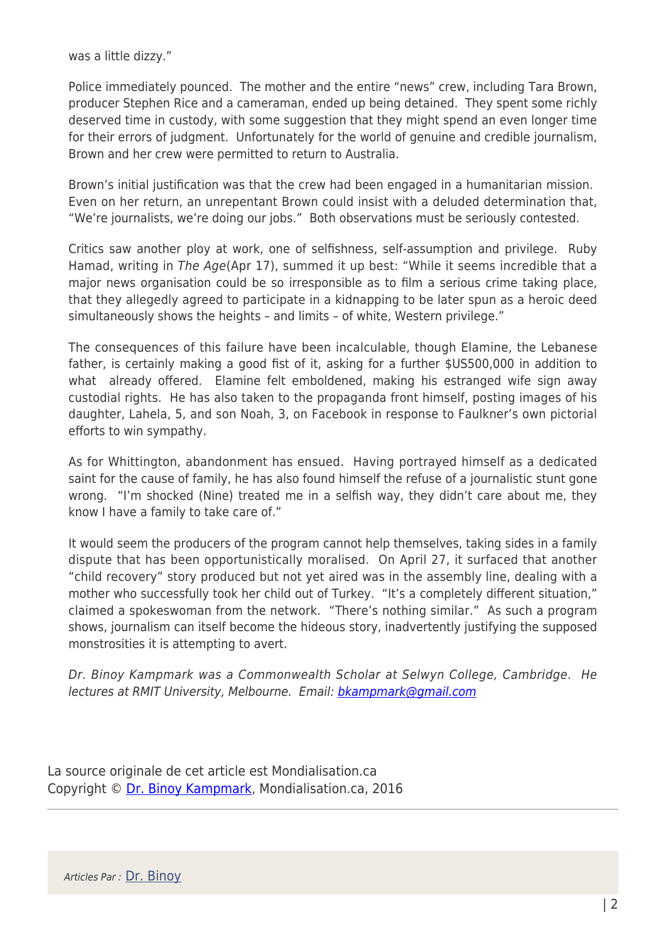was a little dizzy."

Police immediately pounced. The mother and the entire "news" crew, including Tara Brown, producer Stephen Rice and a cameraman, ended up being detained. They spent some richly deserved time in custody, with some suggestion that they might spend an even longer time for their errors of judgment. Unfortunately for the world of genuine and credible journalism, Brown and her crew were permitted to return to Australia.

Brown's initial justification was that the crew had been engaged in a humanitarian mission. Even on her return, an unrepentant Brown could insist with a deluded determination that, "We're journalists, we're doing our jobs." Both observations must be seriously contested.

Critics saw another ploy at work, one of selfishness, self-assumption and privilege. Ruby Hamad, writing in The Age(Apr 17), summed it up best: "While it seems incredible that a major news organisation could be so irresponsible as to film a serious crime taking place, that they allegedly agreed to participate in a kidnapping to be later spun as a heroic deed simultaneously shows the heights – and limits – of white, Western privilege."

The consequences of this failure have been incalculable, though Elamine, the Lebanese father, is certainly making a good fist of it, asking for a further \$US500,000 in addition to what already offered. Elamine felt emboldened, making his estranged wife sign away custodial rights. He has also taken to the propaganda front himself, posting images of his daughter, Lahela, 5, and son Noah, 3, on Facebook in response to Faulkner's own pictorial efforts to win sympathy.

As for Whittington, abandonment has ensued. Having portrayed himself as a dedicated saint for the cause of family, he has also found himself the refuse of a journalistic stunt gone wrong. "I'm shocked (Nine) treated me in a selfish way, they didn't care about me, they know I have a family to take care of."

It would seem the producers of the program cannot help themselves, taking sides in a family dispute that has been opportunistically moralised. On April 27, it surfaced that another "child recovery" story produced but not yet aired was in the assembly line, dealing with a mother who successfully took her child out of Turkey. "It's a completely different situation," claimed a spokeswoman from the network. "There's nothing similar." As such a program shows, journalism can itself become the hideous story, inadvertently justifying the supposed monstrosities it is attempting to avert.

Dr. Binoy Kampmark was a Commonwealth Scholar at Selwyn College, Cambridge. He lectures at RMIT University, Melbourne. Email: [bkampmark@gmail.com](mailto:bkampmark@gmail.com)

La source originale de cet article est Mondialisation.ca Copyright © [Dr. Binoy Kampmark](https://www.mondialisation.ca/author/binoy-kampmark), Mondialisation.ca, 2016